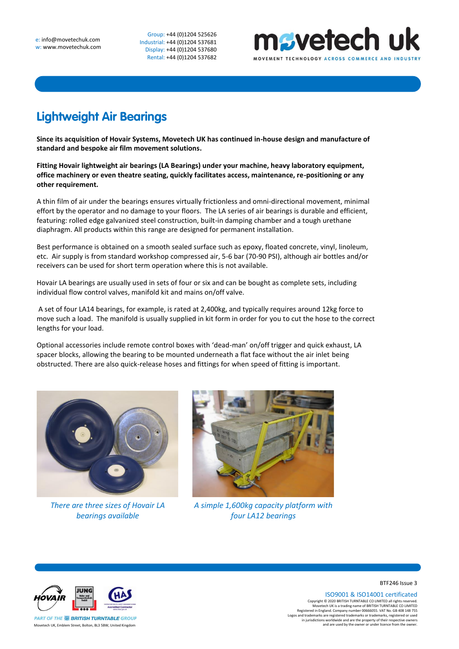Group: +44 (0)1204 525626 Industrial: +44 (0)1204 537681 Display: +44 (0)1204 537680 Rental: +44 (0)1204 537682



## **Lightweight Air Bearings**

**Since its acquisition of Hovair Systems, Movetech UK has continued in-house design and manufacture of standard and bespoke air film movement solutions.** 

**Fitting Hovair lightweight air bearings (LA Bearings) under your machine, heavy laboratory equipment, office machinery or even theatre seating, quickly facilitates access, maintenance, re-positioning or any other requirement.** 

A thin film of air under the bearings ensures virtually frictionless and omni-directional movement, minimal effort by the operator and no damage to your floors. The LA series of air bearings is durable and efficient, featuring: rolled edge galvanized steel construction, built-in damping chamber and a tough urethane diaphragm. All products within this range are designed for permanent installation.

Best performance is obtained on a smooth sealed surface such as epoxy, floated concrete, vinyl, linoleum, etc. Air supply is from standard workshop compressed air, 5-6 bar (70-90 PSI), although air bottles and/or receivers can be used for short term operation where this is not available.

Hovair LA bearings are usually used in sets of four or six and can be bought as complete sets, including individual flow control valves, manifold kit and mains on/off valve.

A set of four LA14 bearings, for example, is rated at 2,400kg, and typically requires around 12kg force to move such a load. The manifold is usually supplied in kit form in order for you to cut the hose to the correct lengths for your load.

Optional accessories include remote control boxes with 'dead-man' on/off trigger and quick exhaust, LA spacer blocks, allowing the bearing to be mounted underneath a flat face without the air inlet being obstructed. There are also quick-release hoses and fittings for when speed of fitting is important.



*There are three sizes of Hovair LA bearings available*



*A simple 1,600kg capacity platform with four LA12 bearings*



BTF246 Issue 3

ISO9001 & ISO14001 certificated

Copyright © 2020 BRITISH TURNTABLE CO LIMITED all rights reserved.<br>Movetech UK is a trading name of BRITISH TURNTABLE CO LIMITED<br>Registered in England. Company number 00666055. VAT No. GB 408 148 755<br>Logos and trademarks a